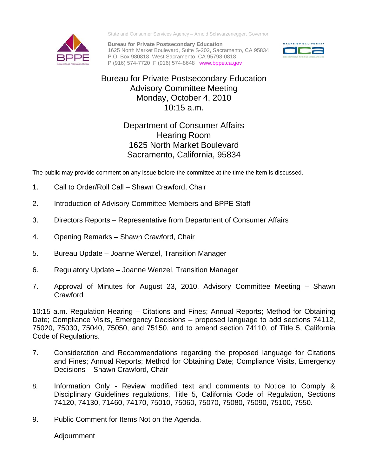

State and Consumer Services Agency – Arnold Schwarzenegger, Governor

**Bureau for Private Postsecondary Education**  1625 North Market Boulevard, Suite S-202, Sacramento, CA 95834 P.O. Box 980818, West Sacramento, CA 95798-0818 P (916) 574-7720 F (916) 574-8648 www.bppe.ca.gov



## Bureau for Private Postsecondary Education Advisory Committee Meeting Monday, October 4, 2010 10:15 a.m.

## Department of Consumer Affairs Hearing Room 1625 North Market Boulevard Sacramento, California, 95834

The public may provide comment on any issue before the committee at the time the item is discussed.

- 1. Call to Order/Roll Call Shawn Crawford, Chair
- 2. Introduction of Advisory Committee Members and BPPE Staff
- 3. Directors Reports Representative from Department of Consumer Affairs
- 4. Opening Remarks Shawn Crawford, Chair
- 5. Bureau Update Joanne Wenzel, Transition Manager
- 6. Regulatory Update Joanne Wenzel, Transition Manager
- 7. Approval of Minutes for August 23, 2010, Advisory Committee Meeting Shawn **Crawford**

10:15 a.m. Regulation Hearing – Citations and Fines; Annual Reports; Method for Obtaining Date; Compliance Visits, Emergency Decisions – proposed language to add sections 74112, 75020, 75030, 75040, 75050, and 75150, and to amend section 74110, of Title 5, California Code of Regulations.

- 7. Consideration and Recommendations regarding the proposed language for Citations and Fines; Annual Reports; Method for Obtaining Date; Compliance Visits, Emergency Decisions – Shawn Crawford, Chair
- 8. Information Only Review modified text and comments to Notice to Comply & Disciplinary Guidelines regulations, Title 5, California Code of Regulation, Sections 74120, 74130, 71460, 74170, 75010, 75060, 75070, 75080, 75090, 75100, 7550.
- 9. Public Comment for Items Not on the Agenda.

Adjournment